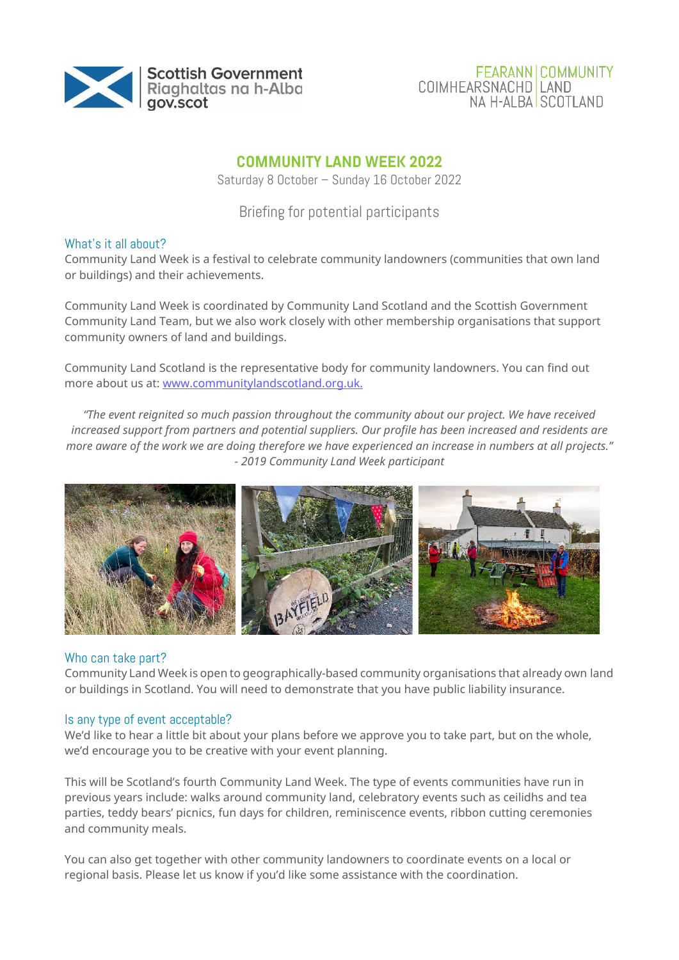

## **FEARANN COMMUNITY COIMHEARSNACHD LAND** NA H-ALBA SCOTLAND

# **COMMUNITY LAND WEEK 2022**

Saturday 8 October – Sunday 16 October 2022

Briefing for potential participants

## What's it all about?

Community Land Week is a festival to celebrate community landowners (communities that own land or buildings) and their achievements.

Community Land Week is coordinated by Community Land Scotland and the Scottish Government Community Land Team, but we also work closely with other membership organisations that support community owners of land and buildings.

Community Land Scotland is the representative body for community landowners. You can find out more about us at[: www.communitylandscotland.org.uk.](http://www.communitylandscotland.org.uk/)

*"The event reignited so much passion throughout the community about our project. We have received increased support from partners and potential suppliers. Our profile has been increased and residents are more aware of the work we are doing therefore we have experienced an increase in numbers at all projects." - 2019 Community Land Week participant*



### Who can take part?

Community Land Week is open to geographically-based community organisations that already own land or buildings in Scotland. You will need to demonstrate that you have public liability insurance.

### Is any type of event acceptable?

We'd like to hear a little bit about your plans before we approve you to take part, but on the whole, we'd encourage you to be creative with your event planning.

This will be Scotland's fourth Community Land Week. The type of events communities have run in previous years include: walks around community land, celebratory events such as ceilidhs and tea parties, teddy bears' picnics, fun days for children, reminiscence events, ribbon cutting ceremonies and community meals.

You can also get together with other community landowners to coordinate events on a local or regional basis. Please let us know if you'd like some assistance with the coordination.